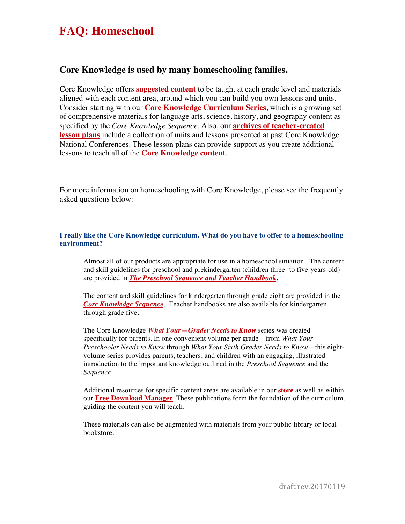## **FAQ: Homeschool**

### **Core Knowledge is used by many homeschooling families.**

Core Knowledge offers **[suggested content](http://www.coreknowledge.org/wp-content/uploads/2016/09/SequenceataGlance.pdf)** to be taught at each grade level and materials aligned with each content area, around which you can build you own lessons and units. Consider starting with our **[Core Knowledge Curriculum Series](http://www.coreknowledge.org/curriculum/)**, which is a growing set of comprehensive materials for language arts, science, history, and geography content as specified by the *Core Knowledge Sequence*. Also, our **[archives of teacher-created](http://www.coreknowledge.org/our-schools/teacher-created-lesson-plans/) [lesson plans](http://www.coreknowledge.org/our-schools/teacher-created-lesson-plans/)** include a collection of units and lessons presented at past Core Knowledge National Conferences. These lesson plans can provide support as you create additional lessons to teach all of the **[Core Knowledge content](http://www.coreknowledge.org/our-approach/core-knowledge-sequence/)**.

For more information on homeschooling with Core Knowledge, please see the frequently asked questions below:

#### **I really like the Core Knowledge curriculum. What do you have to offer to a homeschooling environment?**

Almost all of our products are appropriate for use in a homeschool situation. The content and skill guidelines for preschool and prekindergarten (children three- to five-years-old) are provided in *[The Preschool Sequence and Teacher Handbook](http://www.coreknowledge.org/our-approach/core-knowledge-sequence/preschool-sequence/)*.

The content and skill guidelines for kindergarten through grade eight are provided in the *[Core Knowledge Sequence](http://www.coreknowledge.org/our-approach/core-knowledge-sequence/k-8-sequence/)*. Teacher handbooks are also available for kindergarten through grade five.

The Core Knowledge *[What Your—Grader Needs to Know](http://www.coreknowledge.org/store/?filter_type-of-product=type-03-what-your-grader-needs-to-know)* series was created specifically for parents. In one convenient volume per grade—from *What Your Preschooler Needs to Know* through *What Your Sixth Grader Needs to Know*—this eightvolume series provides parents, teachers, and children with an engaging, illustrated introduction to the important knowledge outlined in the *Preschool Sequence* and the *Sequence.*

Additional resources for specific content areas are available in our **[store](http://www.coreknowledge.org/store/)** as well as within our **[Free Download Manager](http://www.coreknowledge.org/curriculum/download-curriculum/)**. These publications form the foundation of the curriculum, guiding the content you will teach.

These materials can also be augmented with materials from your public library or local bookstore.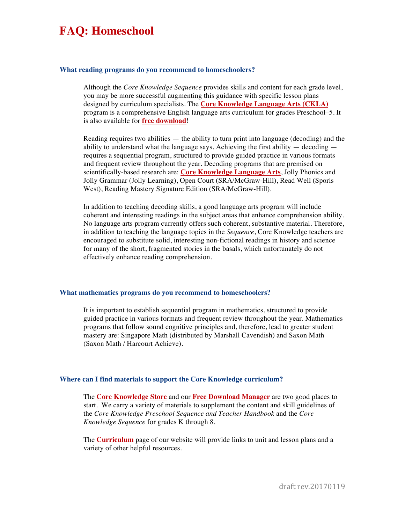### **FAQ: Homeschool**

#### **What reading programs do you recommend to homeschoolers?**

Although the *Core Knowledge Sequence* provides skills and content for each grade level, you may be more successful augmenting this guidance with specific lesson plans designed by curriculum specialists. The **[Core Knowledge Language Arts \(CKLA\)](http://www.coreknowledge.org/curriculum/language-arts/)** program is a comprehensive English language arts curriculum for grades Preschool–5. It is also available for **[free download](http://www.coreknowledge.org/curriculum/download-curriculum/)**!

Reading requires two abilities  $-$  the ability to turn print into language (decoding) and the ability to understand what the language says. Achieving the first ability  $-$  decoding  $$ requires a sequential program, structured to provide guided practice in various formats and frequent review throughout the year. Decoding programs that are premised on scientifically-based research are: **[Core Knowledge Language Arts](http://www.coreknowledge.org/curriculum/language-arts/)**, Jolly Phonics and Jolly Grammar (Jolly Learning), Open Court (SRA/McGraw-Hill), Read Well (Sporis West), Reading Mastery Signature Edition (SRA/McGraw-Hill).

In addition to teaching decoding skills, a good language arts program will include coherent and interesting readings in the subject areas that enhance comprehension ability. No language arts program currently offers such coherent, substantive material. Therefore, in addition to teaching the language topics in the *Sequence*, Core Knowledge teachers are encouraged to substitute solid, interesting non-fictional readings in history and science for many of the short, fragmented stories in the basals, which unfortunately do not effectively enhance reading comprehension.

#### **What mathematics programs do you recommend to homeschoolers?**

It is important to establish sequential program in mathematics, structured to provide guided practice in various formats and frequent review throughout the year. Mathematics programs that follow sound cognitive principles and, therefore, lead to greater student mastery are: Singapore Math (distributed by Marshall Cavendish) and Saxon Math (Saxon Math / Harcourt Achieve).

#### **Where can I find materials to support the Core Knowledge curriculum?**

The **[Core Knowledge Store](http://www.coreknowledge.org/store/)** and our **[Free Download Manager](http://www.coreknowledge.org/curriculum/download-curriculum/)** are two good places to start. We carry a variety of materials to supplement the content and skill guidelines of the *Core Knowledge Preschool Sequence and Teacher Handbook* and the *Core Knowledge Sequence* for grades K through 8.

The **[Curriculum](http://www.coreknowledge.org/curriculum/)** page of our website will provide links to unit and lesson plans and a variety of other helpful resources.